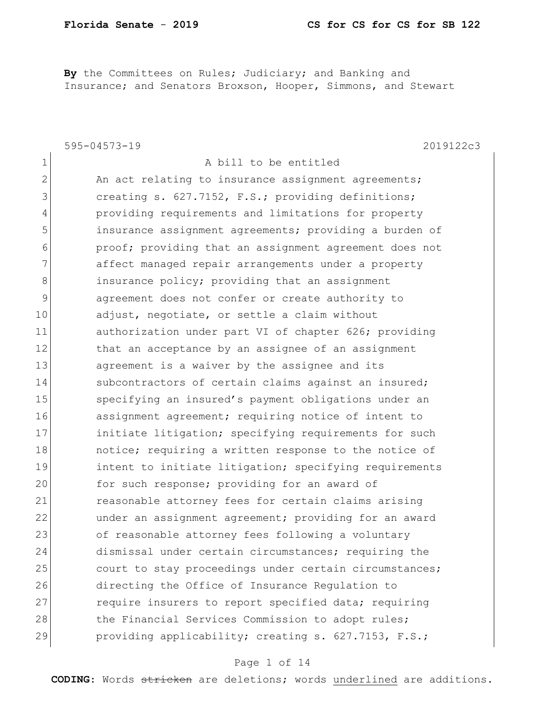**By** the Committees on Rules; Judiciary; and Banking and Insurance; and Senators Broxson, Hooper, Simmons, and Stewart

|                | $595 - 04573 - 19$<br>2019122c3                        |
|----------------|--------------------------------------------------------|
| 1              | A bill to be entitled                                  |
| $\overline{2}$ | An act relating to insurance assignment agreements;    |
| 3              | creating s. 627.7152, F.S.; providing definitions;     |
| 4              | providing requirements and limitations for property    |
| 5              | insurance assignment agreements; providing a burden of |
| 6              | proof; providing that an assignment agreement does not |
| 7              | affect managed repair arrangements under a property    |
| 8              | insurance policy; providing that an assignment         |
| 9              | agreement does not confer or create authority to       |
| 10             | adjust, negotiate, or settle a claim without           |
| 11             | authorization under part VI of chapter 626; providing  |
| 12             | that an acceptance by an assignee of an assignment     |
| 13             | agreement is a waiver by the assignee and its          |
| 14             | subcontractors of certain claims against an insured;   |
| 15             | specifying an insured's payment obligations under an   |
| 16             | assignment agreement; requiring notice of intent to    |
| 17             | initiate litigation; specifying requirements for such  |
| 18             | notice; requiring a written response to the notice of  |
| 19             | intent to initiate litigation; specifying requirements |
| 20             | for such response; providing for an award of           |
| 21             | reasonable attorney fees for certain claims arising    |
| 22             | under an assignment agreement; providing for an award  |
| 23             | of reasonable attorney fees following a voluntary      |
| 24             | dismissal under certain circumstances; requiring the   |
| 25             | court to stay proceedings under certain circumstances; |
| 26             | directing the Office of Insurance Regulation to        |
| 27             | require insurers to report specified data; requiring   |
| 28             | the Financial Services Commission to adopt rules;      |
| 29             | providing applicability; creating s. 627.7153, F.S.;   |

### Page 1 of 14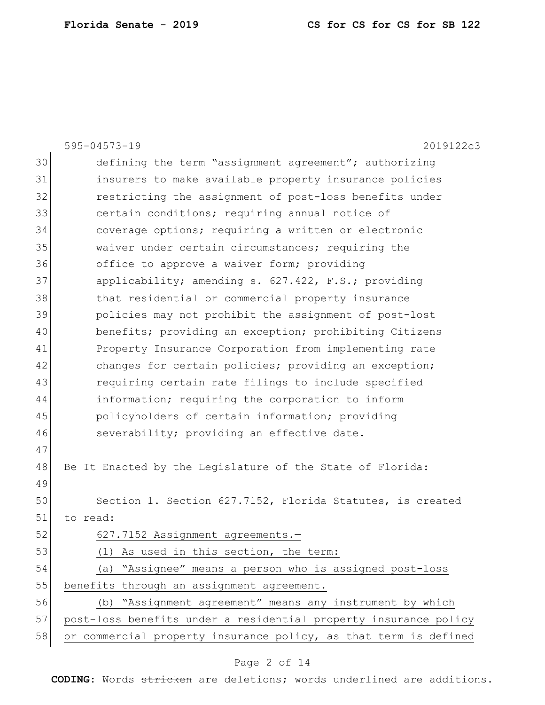|    | 595-04573-19<br>2019122c3                                        |
|----|------------------------------------------------------------------|
| 30 | defining the term "assignment agreement"; authorizing            |
| 31 | insurers to make available property insurance policies           |
| 32 | restricting the assignment of post-loss benefits under           |
| 33 | certain conditions; requiring annual notice of                   |
| 34 | coverage options; requiring a written or electronic              |
| 35 | waiver under certain circumstances; requiring the                |
| 36 | office to approve a waiver form; providing                       |
| 37 | applicability; amending s. 627.422, F.S.; providing              |
| 38 | that residential or commercial property insurance                |
| 39 | policies may not prohibit the assignment of post-lost            |
| 40 | benefits; providing an exception; prohibiting Citizens           |
| 41 | Property Insurance Corporation from implementing rate            |
| 42 | changes for certain policies; providing an exception;            |
| 43 | requiring certain rate filings to include specified              |
| 44 | information; requiring the corporation to inform                 |
| 45 | policyholders of certain information; providing                  |
| 46 | severability; providing an effective date.                       |
| 47 |                                                                  |
| 48 | Be It Enacted by the Legislature of the State of Florida:        |
| 49 |                                                                  |
| 50 | Section 1. Section 627.7152, Florida Statutes, is created        |
| 51 | to read:                                                         |
| 52 | 627.7152 Assignment agreements.-                                 |
| 53 | (1) As used in this section, the term:                           |
| 54 | (a) "Assignee" means a person who is assigned post-loss          |
| 55 | benefits through an assignment agreement.                        |
| 56 | (b) "Assignment agreement" means any instrument by which         |
| 57 | post-loss benefits under a residential property insurance policy |
| 58 | or commercial property insurance policy, as that term is defined |

## Page 2 of 14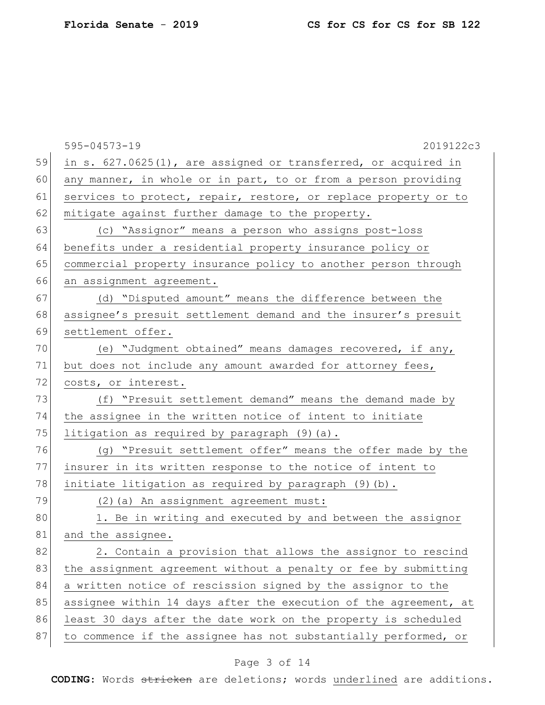|    | 2019122c3<br>$595 - 04573 - 19$                                  |
|----|------------------------------------------------------------------|
| 59 | in s. 627.0625(1), are assigned or transferred, or acquired in   |
| 60 | any manner, in whole or in part, to or from a person providing   |
| 61 | services to protect, repair, restore, or replace property or to  |
| 62 | mitigate against further damage to the property.                 |
| 63 | (c) "Assignor" means a person who assigns post-loss              |
| 64 | benefits under a residential property insurance policy or        |
| 65 | commercial property insurance policy to another person through   |
| 66 | an assignment agreement.                                         |
| 67 | (d) "Disputed amount" means the difference between the           |
| 68 | assignee's presuit settlement demand and the insurer's presuit   |
| 69 | settlement offer.                                                |
| 70 | (e) "Judgment obtained" means damages recovered, if any,         |
| 71 | but does not include any amount awarded for attorney fees,       |
| 72 | costs, or interest.                                              |
| 73 | (f) "Presuit settlement demand" means the demand made by         |
| 74 | the assignee in the written notice of intent to initiate         |
| 75 | litigation as required by paragraph (9) (a).                     |
| 76 | (g) "Presuit settlement offer" means the offer made by the       |
| 77 | insurer in its written response to the notice of intent to       |
| 78 | initiate litigation as required by paragraph (9)(b).             |
| 79 | (2) (a) An assignment agreement must:                            |
| 80 | 1. Be in writing and executed by and between the assignor        |
| 81 | and the assignee                                                 |
| 82 | 2. Contain a provision that allows the assignor to rescind       |
| 83 | the assignment agreement without a penalty or fee by submitting  |
| 84 | a written notice of rescission signed by the assignor to the     |
| 85 | assignee within 14 days after the execution of the agreement, at |
| 86 | least 30 days after the date work on the property is scheduled   |
| 87 | to commence if the assignee has not substantially performed, or  |
|    |                                                                  |

## Page 3 of 14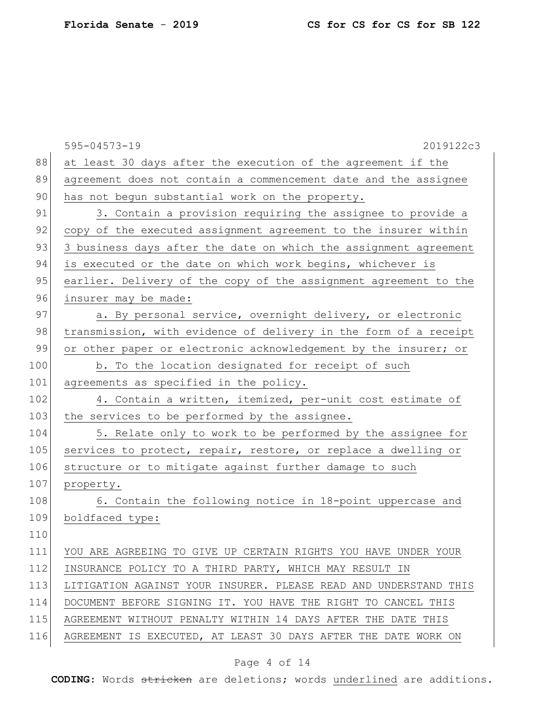|     | $595 - 04573 - 19$<br>2019122c3                                  |
|-----|------------------------------------------------------------------|
| 88  | at least 30 days after the execution of the agreement if the     |
| 89  | agreement does not contain a commencement date and the assignee  |
| 90  | has not begun substantial work on the property.                  |
| 91  | 3. Contain a provision requiring the assignee to provide a       |
| 92  | copy of the executed assignment agreement to the insurer within  |
| 93  | 3 business days after the date on which the assignment agreement |
| 94  | is executed or the date on which work begins, whichever is       |
| 95  | earlier. Delivery of the copy of the assignment agreement to the |
| 96  | insurer may be made:                                             |
| 97  | a. By personal service, overnight delivery, or electronic        |
| 98  | transmission, with evidence of delivery in the form of a receipt |
| 99  | or other paper or electronic acknowledgement by the insurer; or  |
| 100 | b. To the location designated for receipt of such                |
| 101 | agreements as specified in the policy.                           |
| 102 | 4. Contain a written, itemized, per-unit cost estimate of        |
| 103 | the services to be performed by the assignee.                    |
| 104 | 5. Relate only to work to be performed by the assignee for       |
| 105 | services to protect, repair, restore, or replace a dwelling or   |
| 106 | structure or to mitigate against further damage to such          |
| 107 | property.                                                        |
| 108 | 6. Contain the following notice in 18-point uppercase and        |
| 109 | boldfaced type:                                                  |
| 110 |                                                                  |
| 111 | YOU ARE AGREEING TO GIVE UP CERTAIN RIGHTS YOU HAVE UNDER YOUR   |
| 112 | INSURANCE POLICY TO A THIRD PARTY, WHICH MAY RESULT IN           |
| 113 | LITIGATION AGAINST YOUR INSURER. PLEASE READ AND UNDERSTAND THIS |
| 114 | DOCUMENT BEFORE SIGNING IT. YOU HAVE THE RIGHT TO CANCEL THIS    |
| 115 | AGREEMENT WITHOUT PENALTY WITHIN 14 DAYS AFTER THE DATE THIS     |
| 116 | AGREEMENT IS EXECUTED, AT LEAST 30 DAYS AFTER THE DATE WORK ON   |

## Page 4 of 14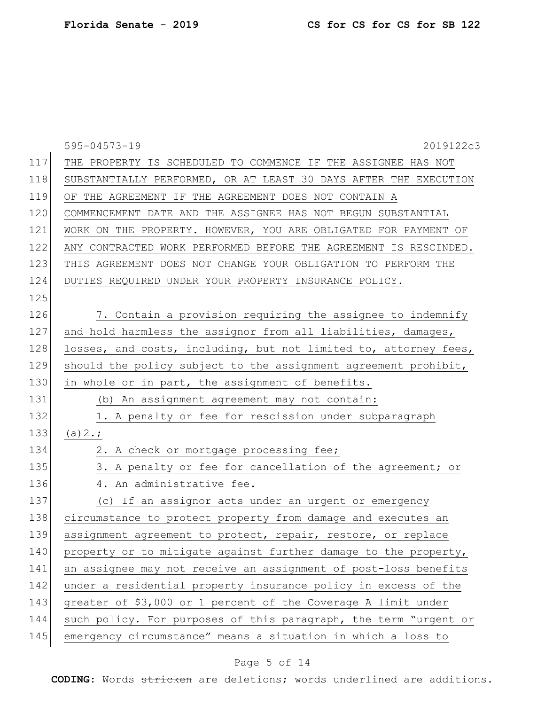|     | 595-04573-19<br>2019122c3                                        |
|-----|------------------------------------------------------------------|
| 117 | THE PROPERTY IS SCHEDULED TO COMMENCE IF THE ASSIGNEE HAS NOT    |
| 118 | SUBSTANTIALLY PERFORMED, OR AT LEAST 30 DAYS AFTER THE EXECUTION |
| 119 | OF THE AGREEMENT IF THE AGREEMENT DOES NOT CONTAIN A             |
| 120 | COMMENCEMENT DATE AND THE ASSIGNEE HAS NOT BEGUN SUBSTANTIAL     |
| 121 | WORK ON THE PROPERTY. HOWEVER, YOU ARE OBLIGATED FOR PAYMENT OF  |
| 122 | ANY CONTRACTED WORK PERFORMED BEFORE THE AGREEMENT IS RESCINDED. |
| 123 | THIS AGREEMENT DOES NOT CHANGE YOUR OBLIGATION TO PERFORM THE    |
| 124 | DUTIES REQUIRED UNDER YOUR PROPERTY INSURANCE POLICY.            |
| 125 |                                                                  |
| 126 | 7. Contain a provision requiring the assignee to indemnify       |
| 127 | and hold harmless the assignor from all liabilities, damages,    |
| 128 | losses, and costs, including, but not limited to, attorney fees, |
| 129 | should the policy subject to the assignment agreement prohibit,  |
| 130 | in whole or in part, the assignment of benefits.                 |
| 131 | (b) An assignment agreement may not contain:                     |
| 132 | 1. A penalty or fee for rescission under subparagraph            |
| 133 | (a) 2.;                                                          |
| 134 | 2. A check or mortgage processing fee;                           |
| 135 | 3. A penalty or fee for cancellation of the agreement; or        |
| 136 | 4. An administrative fee.                                        |
| 137 | (c) If an assignor acts under an urgent or emergency             |
| 138 | circumstance to protect property from damage and executes an     |
| 139 | assignment agreement to protect, repair, restore, or replace     |
| 140 | property or to mitigate against further damage to the property,  |
| 141 | an assignee may not receive an assignment of post-loss benefits  |
| 142 | under a residential property insurance policy in excess of the   |
| 143 | greater of \$3,000 or 1 percent of the Coverage A limit under    |
| 144 | such policy. For purposes of this paragraph, the term "urgent or |
| 145 | emergency circumstance" means a situation in which a loss to     |

## Page 5 of 14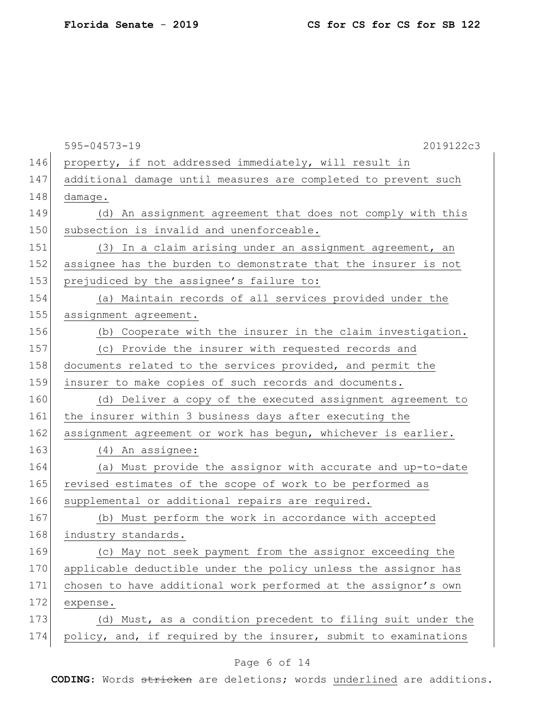|     | $595 - 04573 - 19$<br>2019122c3                                 |
|-----|-----------------------------------------------------------------|
| 146 | property, if not addressed immediately, will result in          |
| 147 | additional damage until measures are completed to prevent such  |
| 148 | damage.                                                         |
| 149 | (d) An assignment agreement that does not comply with this      |
| 150 | subsection is invalid and unenforceable.                        |
| 151 | (3) In a claim arising under an assignment agreement, an        |
| 152 | assignee has the burden to demonstrate that the insurer is not  |
| 153 | prejudiced by the assignee's failure to:                        |
| 154 | (a) Maintain records of all services provided under the         |
| 155 | assignment agreement.                                           |
| 156 | (b) Cooperate with the insurer in the claim investigation.      |
| 157 | (c) Provide the insurer with requested records and              |
| 158 | documents related to the services provided, and permit the      |
| 159 | insurer to make copies of such records and documents.           |
| 160 | (d) Deliver a copy of the executed assignment agreement to      |
| 161 | the insurer within 3 business days after executing the          |
| 162 | assignment agreement or work has begun, whichever is earlier.   |
| 163 | (4) An assignee:                                                |
| 164 | (a) Must provide the assignor with accurate and up-to-date      |
| 165 | revised estimates of the scope of work to be performed as       |
| 166 | supplemental or additional repairs are required.                |
| 167 | (b) Must perform the work in accordance with accepted           |
| 168 | industry standards.                                             |
| 169 | (c) May not seek payment from the assignor exceeding the        |
| 170 | applicable deductible under the policy unless the assignor has  |
| 171 | chosen to have additional work performed at the assignor's own  |
| 172 | expense.                                                        |
| 173 | (d) Must, as a condition precedent to filing suit under the     |
| 174 | policy, and, if required by the insurer, submit to examinations |
|     |                                                                 |

## Page 6 of 14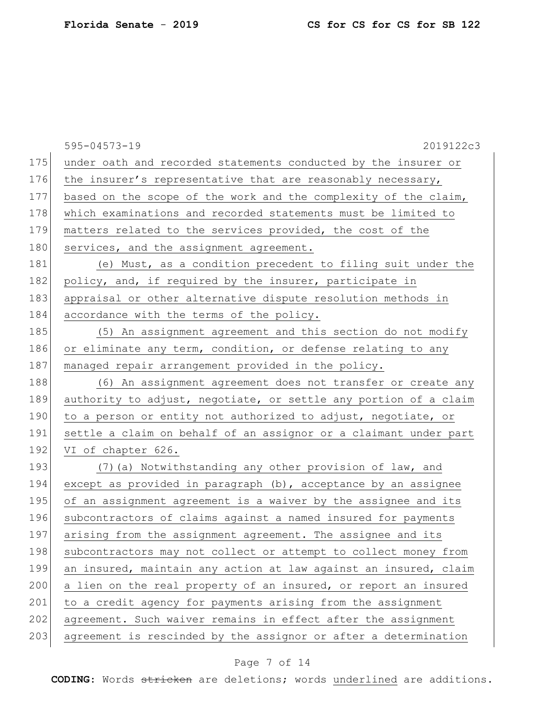|     | $595 - 04573 - 19$<br>2019122c3                                  |
|-----|------------------------------------------------------------------|
| 175 | under oath and recorded statements conducted by the insurer or   |
| 176 | the insurer's representative that are reasonably necessary,      |
| 177 | based on the scope of the work and the complexity of the claim,  |
| 178 | which examinations and recorded statements must be limited to    |
| 179 | matters related to the services provided, the cost of the        |
| 180 | services, and the assignment agreement.                          |
| 181 | (e) Must, as a condition precedent to filing suit under the      |
| 182 | policy, and, if required by the insurer, participate in          |
| 183 | appraisal or other alternative dispute resolution methods in     |
| 184 | accordance with the terms of the policy.                         |
| 185 | (5) An assignment agreement and this section do not modify       |
| 186 | or eliminate any term, condition, or defense relating to any     |
| 187 | managed repair arrangement provided in the policy.               |
| 188 | (6) An assignment agreement does not transfer or create any      |
| 189 | authority to adjust, negotiate, or settle any portion of a claim |
| 190 | to a person or entity not authorized to adjust, negotiate, or    |
| 191 | settle a claim on behalf of an assignor or a claimant under part |
| 192 | VI of chapter 626.                                               |
| 193 | (7) (a) Notwithstanding any other provision of law, and          |
| 194 | except as provided in paragraph (b), acceptance by an assignee   |
| 195 | of an assignment agreement is a waiver by the assignee and its   |
| 196 | subcontractors of claims against a named insured for payments    |
| 197 | arising from the assignment agreement. The assignee and its      |
| 198 | subcontractors may not collect or attempt to collect money from  |
| 199 | an insured, maintain any action at law against an insured, claim |
| 200 | a lien on the real property of an insured, or report an insured  |
| 201 | to a credit agency for payments arising from the assignment      |
| 202 | agreement. Such waiver remains in effect after the assignment    |
| 203 | agreement is rescinded by the assignor or after a determination  |

## Page 7 of 14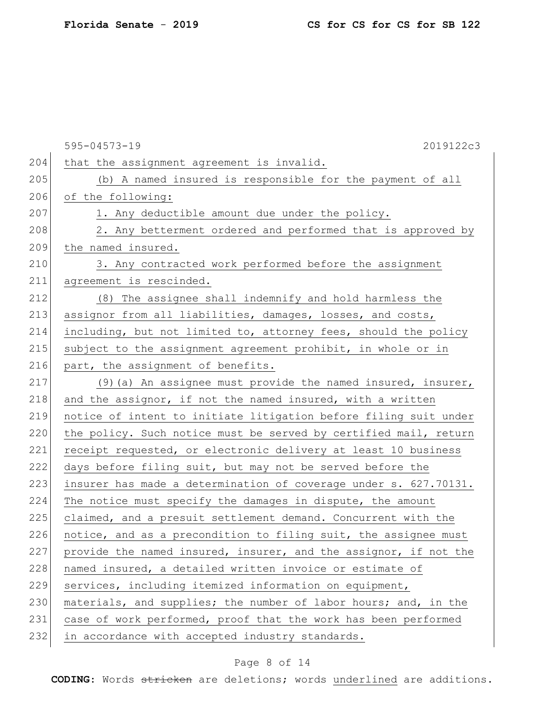|     | 595-04573-19<br>2019122c3                                        |
|-----|------------------------------------------------------------------|
| 204 | that the assignment agreement is invalid.                        |
| 205 | (b) A named insured is responsible for the payment of all        |
| 206 | of the following:                                                |
| 207 | 1. Any deductible amount due under the policy.                   |
| 208 | 2. Any betterment ordered and performed that is approved by      |
| 209 | the named insured.                                               |
| 210 | 3. Any contracted work performed before the assignment           |
| 211 | agreement is rescinded.                                          |
| 212 | (8) The assignee shall indemnify and hold harmless the           |
| 213 | assignor from all liabilities, damages, losses, and costs,       |
| 214 | including, but not limited to, attorney fees, should the policy  |
| 215 | subject to the assignment agreement prohibit, in whole or in     |
| 216 | part, the assignment of benefits.                                |
| 217 | (9) (a) An assignee must provide the named insured, insurer,     |
| 218 | and the assignor, if not the named insured, with a written       |
| 219 | notice of intent to initiate litigation before filing suit under |
| 220 | the policy. Such notice must be served by certified mail, return |
| 221 | receipt requested, or electronic delivery at least 10 business   |
| 222 | days before filing suit, but may not be served before the        |
| 223 | insurer has made a determination of coverage under s. 627.70131. |
| 224 | The notice must specify the damages in dispute, the amount       |
| 225 | claimed, and a presuit settlement demand. Concurrent with the    |
| 226 | notice, and as a precondition to filing suit, the assignee must  |
| 227 | provide the named insured, insurer, and the assignor, if not the |
| 228 | named insured, a detailed written invoice or estimate of         |
| 229 | services, including itemized information on equipment,           |
| 230 | materials, and supplies; the number of labor hours; and, in the  |
| 231 | case of work performed, proof that the work has been performed   |
| 232 | in accordance with accepted industry standards.                  |
|     |                                                                  |

## Page 8 of 14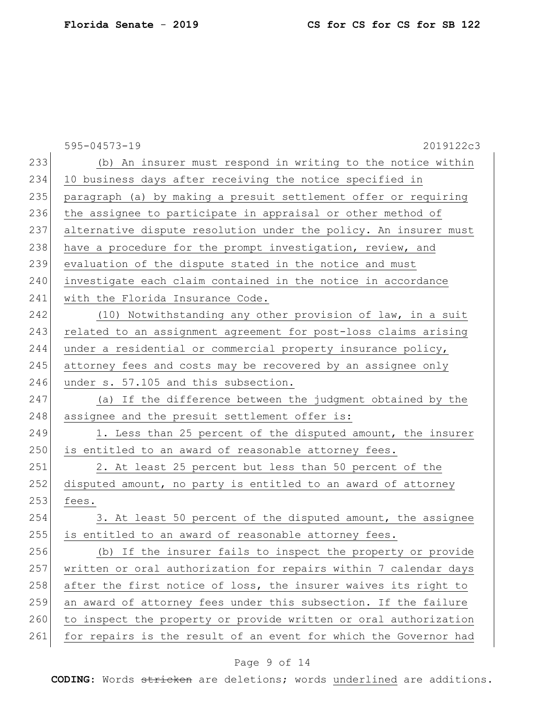|     | 595-04573-19<br>2019122c3                                        |
|-----|------------------------------------------------------------------|
| 233 | (b) An insurer must respond in writing to the notice within      |
| 234 | 10 business days after receiving the notice specified in         |
| 235 | paragraph (a) by making a presuit settlement offer or requiring  |
| 236 | the assignee to participate in appraisal or other method of      |
| 237 | alternative dispute resolution under the policy. An insurer must |
| 238 | have a procedure for the prompt investigation, review, and       |
| 239 | evaluation of the dispute stated in the notice and must          |
| 240 | investigate each claim contained in the notice in accordance     |
| 241 | with the Florida Insurance Code.                                 |
| 242 | (10) Notwithstanding any other provision of law, in a suit       |
| 243 | related to an assignment agreement for post-loss claims arising  |
| 244 | under a residential or commercial property insurance policy,     |
| 245 | attorney fees and costs may be recovered by an assignee only     |
| 246 | under s. 57.105 and this subsection.                             |
| 247 | (a) If the difference between the judgment obtained by the       |
| 248 | assignee and the presuit settlement offer is:                    |
| 249 | 1. Less than 25 percent of the disputed amount, the insurer      |
| 250 | is entitled to an award of reasonable attorney fees.             |
| 251 | 2. At least 25 percent but less than 50 percent of the           |
| 252 | disputed amount, no party is entitled to an award of attorney    |
| 253 | fees.                                                            |
| 254 | 3. At least 50 percent of the disputed amount, the assignee      |
| 255 | is entitled to an award of reasonable attorney fees.             |
| 256 | (b) If the insurer fails to inspect the property or provide      |
| 257 | written or oral authorization for repairs within 7 calendar days |
| 258 | after the first notice of loss, the insurer waives its right to  |
| 259 | an award of attorney fees under this subsection. If the failure  |
| 260 | to inspect the property or provide written or oral authorization |
| 261 | for repairs is the result of an event for which the Governor had |

## Page 9 of 14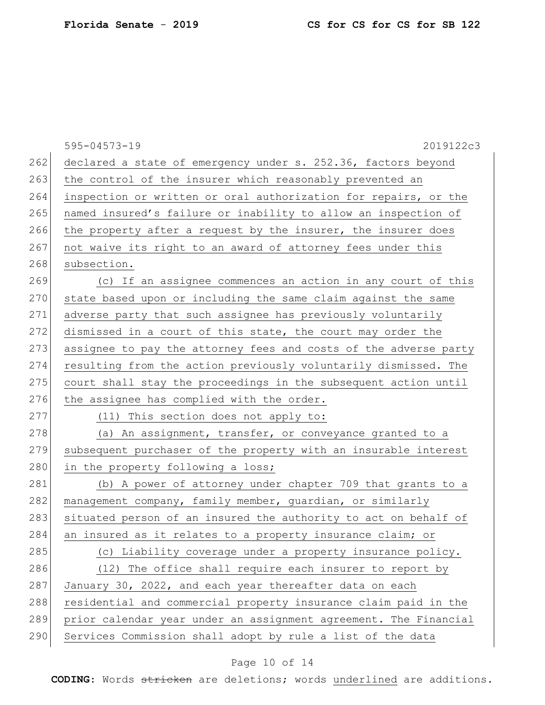|     | 595-04573-19<br>2019122c3                                        |
|-----|------------------------------------------------------------------|
| 262 | declared a state of emergency under s. 252.36, factors beyond    |
| 263 | the control of the insurer which reasonably prevented an         |
| 264 | inspection or written or oral authorization for repairs, or the  |
| 265 | named insured's failure or inability to allow an inspection of   |
| 266 | the property after a request by the insurer, the insurer does    |
| 267 | not waive its right to an award of attorney fees under this      |
| 268 | subsection.                                                      |
| 269 | (c) If an assignee commences an action in any court of this      |
| 270 | state based upon or including the same claim against the same    |
| 271 | adverse party that such assignee has previously voluntarily      |
| 272 | dismissed in a court of this state, the court may order the      |
| 273 | assignee to pay the attorney fees and costs of the adverse party |
| 274 | resulting from the action previously voluntarily dismissed. The  |
| 275 | court shall stay the proceedings in the subsequent action until  |
| 276 | the assignee has complied with the order.                        |
| 277 | (11) This section does not apply to:                             |
| 278 | (a) An assignment, transfer, or conveyance granted to a          |
| 279 | subsequent purchaser of the property with an insurable interest  |
| 280 | in the property following a loss;                                |
| 281 | (b) A power of attorney under chapter 709 that grants to a       |
| 282 | management company, family member, guardian, or similarly        |
| 283 | situated person of an insured the authority to act on behalf of  |
| 284 | an insured as it relates to a property insurance claim; or       |
| 285 | (c) Liability coverage under a property insurance policy.        |
| 286 | (12) The office shall require each insurer to report by          |
| 287 | January 30, 2022, and each year thereafter data on each          |
| 288 | residential and commercial property insurance claim paid in the  |
| 289 | prior calendar year under an assignment agreement. The Financial |
| 290 | Services Commission shall adopt by rule a list of the data       |

# Page 10 of 14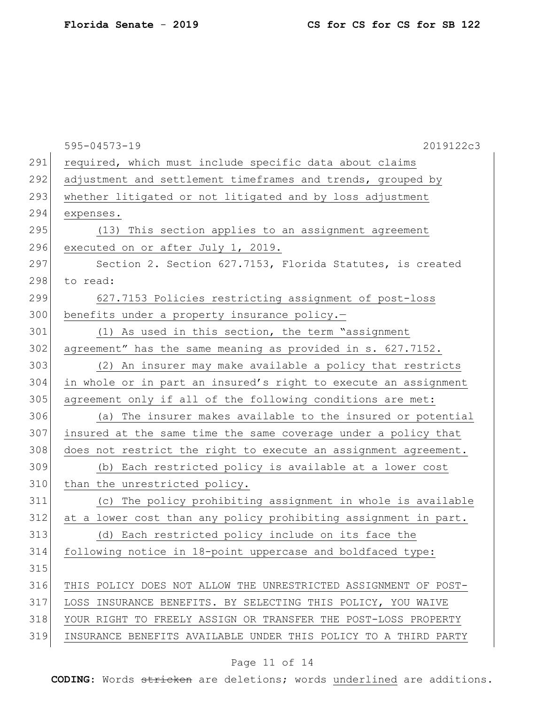|     | 595-04573-19<br>2019122c3                                       |
|-----|-----------------------------------------------------------------|
| 291 | required, which must include specific data about claims         |
| 292 | adjustment and settlement timeframes and trends, grouped by     |
| 293 | whether litigated or not litigated and by loss adjustment       |
| 294 | expenses.                                                       |
| 295 | (13) This section applies to an assignment agreement            |
| 296 | executed on or after July 1, 2019.                              |
| 297 | Section 2. Section 627.7153, Florida Statutes, is created       |
| 298 | to read:                                                        |
| 299 | 627.7153 Policies restricting assignment of post-loss           |
| 300 | benefits under a property insurance policy.-                    |
| 301 | (1) As used in this section, the term "assignment               |
| 302 | agreement" has the same meaning as provided in s. 627.7152.     |
| 303 | (2) An insurer may make available a policy that restricts       |
| 304 | in whole or in part an insured's right to execute an assignment |
| 305 | agreement only if all of the following conditions are met:      |
| 306 | (a) The insurer makes available to the insured or potential     |
| 307 | insured at the same time the same coverage under a policy that  |
| 308 | does not restrict the right to execute an assignment agreement. |
| 309 | (b) Each restricted policy is available at a lower cost         |
| 310 | than the unrestricted policy.                                   |
| 311 | (c) The policy prohibiting assignment in whole is available     |
| 312 | at a lower cost than any policy prohibiting assignment in part. |
| 313 | (d) Each restricted policy include on its face the              |
| 314 | following notice in 18-point uppercase and boldfaced type:      |
| 315 |                                                                 |
| 316 | THIS POLICY DOES NOT ALLOW THE UNRESTRICTED ASSIGNMENT OF POST- |
| 317 | LOSS INSURANCE BENEFITS. BY SELECTING THIS POLICY, YOU WAIVE    |
| 318 | YOUR RIGHT TO FREELY ASSIGN OR TRANSFER THE POST-LOSS PROPERTY  |
| 319 | INSURANCE BENEFITS AVAILABLE UNDER THIS POLICY TO A THIRD PARTY |
|     |                                                                 |

## Page 11 of 14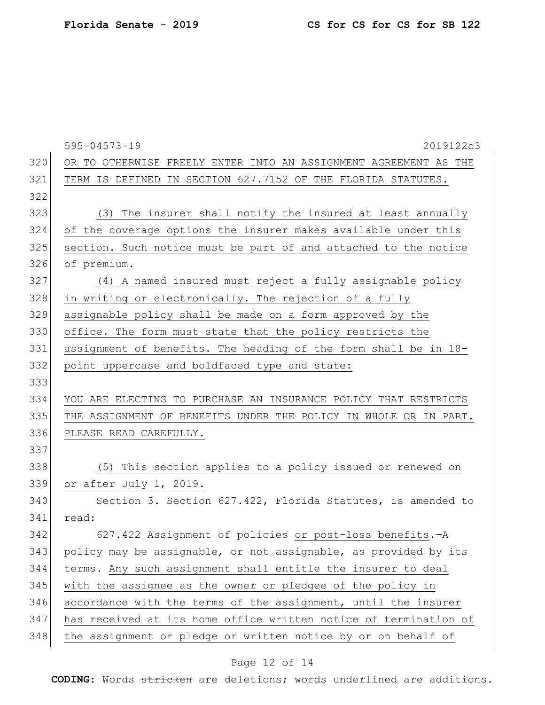|     | 595-04573-19<br>2019122c3                                        |
|-----|------------------------------------------------------------------|
| 320 | OR TO OTHERWISE FREELY ENTER INTO AN ASSIGNMENT AGREEMENT AS THE |
| 321 | TERM IS DEFINED IN SECTION 627.7152 OF THE FLORIDA STATUTES.     |
| 322 |                                                                  |
| 323 | (3) The insurer shall notify the insured at least annually       |
| 324 | of the coverage options the insurer makes available under this   |
| 325 | section. Such notice must be part of and attached to the notice  |
| 326 | of premium.                                                      |
| 327 | (4) A named insured must reject a fully assignable policy        |
| 328 | in writing or electronically. The rejection of a fully           |
| 329 | assignable policy shall be made on a form approved by the        |
| 330 | office. The form must state that the policy restricts the        |
| 331 | assignment of benefits. The heading of the form shall be in 18-  |
| 332 | point uppercase and boldfaced type and state:                    |
| 333 |                                                                  |
| 334 | YOU ARE ELECTING TO PURCHASE AN INSURANCE POLICY THAT RESTRICTS  |
| 335 | THE ASSIGNMENT OF BENEFITS UNDER THE POLICY IN WHOLE OR IN PART. |
| 336 | PLEASE READ CAREFULLY.                                           |
| 337 |                                                                  |
| 338 | (5) This section applies to a policy issued or renewed on        |
| 339 | or after July 1, 2019.                                           |
| 340 | Section 3. Section 627.422, Florida Statutes, is amended to      |
| 341 | read:                                                            |
| 342 | 627.422 Assignment of policies or post-loss benefits. - A        |
| 343 | policy may be assignable, or not assignable, as provided by its  |
| 344 | terms. Any such assignment shall entitle the insurer to deal     |
| 345 | with the assignee as the owner or pledgee of the policy in       |
| 346 | accordance with the terms of the assignment, until the insurer   |
| 347 | has received at its home office written notice of termination of |
| 348 | the assignment or pledge or written notice by or on behalf of    |

## Page 12 of 14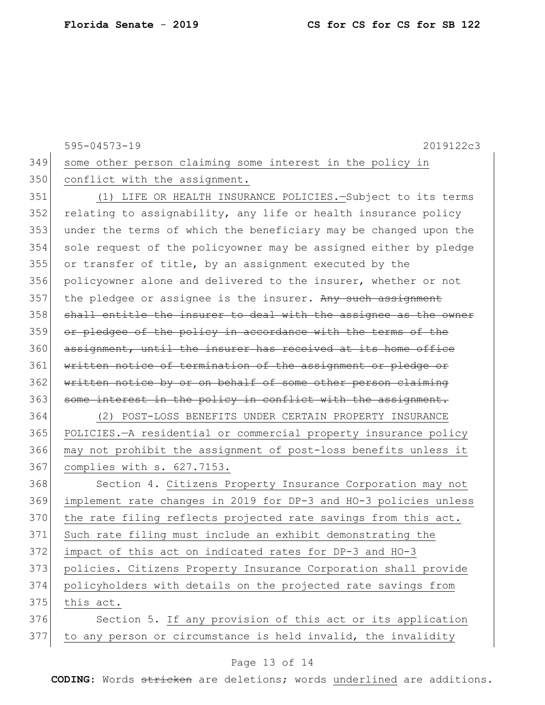|     | $595 - 04573 - 19$<br>2019122c3                                  |
|-----|------------------------------------------------------------------|
| 349 | some other person claiming some interest in the policy in        |
| 350 | conflict with the assignment.                                    |
| 351 | (1) LIFE OR HEALTH INSURANCE POLICIES. - Subject to its terms    |
| 352 | relating to assignability, any life or health insurance policy   |
| 353 | under the terms of which the beneficiary may be changed upon the |
| 354 | sole request of the policyowner may be assigned either by pledge |
| 355 | or transfer of title, by an assignment executed by the           |
| 356 | policyowner alone and delivered to the insurer, whether or not   |
| 357 | the pledgee or assignee is the insurer. Any such assignment      |
| 358 | shall entitle the insurer to deal with the assignee as the owner |
| 359 | or pledgee of the policy in accordance with the terms of the     |
| 360 | assignment, until the insurer has received at its home office    |
| 361 | written notice of termination of the assignment or pledge or     |
| 362 | written notice by or on behalf of some other person claiming     |
| 363 | some interest in the policy in conflict with the assignment.     |
| 364 | (2) POST-LOSS BENEFITS UNDER CERTAIN PROPERTY INSURANCE          |
| 365 | POLICIES.-A residential or commercial property insurance policy  |
| 366 | may not prohibit the assignment of post-loss benefits unless it  |
| 367 | complies with s. 627.7153.                                       |
| 368 | Section 4. Citizens Property Insurance Corporation may not       |
| 369 | implement rate changes in 2019 for DP-3 and HO-3 policies unless |
| 370 | the rate filing reflects projected rate savings from this act.   |
| 371 | Such rate filing must include an exhibit demonstrating the       |
| 372 | impact of this act on indicated rates for DP-3 and HO-3          |
| 373 | policies. Citizens Property Insurance Corporation shall provide  |
| 374 | policyholders with details on the projected rate savings from    |
| 375 | this act.                                                        |
| 376 | Section 5. If any provision of this act or its application       |
| 377 | to any person or circumstance is held invalid, the invalidity    |

## Page 13 of 14